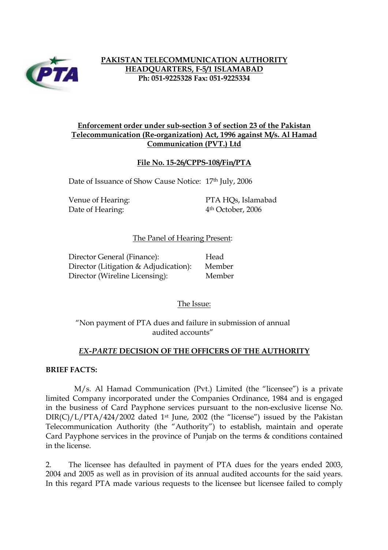

## **PAKISTAN TELECOMMUNICATION AUTHORITY HEADQUARTERS, F-5/1 ISLAMABAD Ph: 051-9225328 Fax: 051-9225334**

## **Enforcement order under sub-section 3 of section 23 of the Pakistan Telecommunication (Re-organization) Act, 1996 against M/s. Al Hamad Communication (PVT.) Ltd**

#### **File No. 15-26/CPPS-108/Fin/PTA**

Date of Issuance of Show Cause Notice: 17th July, 2006

Date of Hearing:  $4<sup>th</sup> October, 2006$ 

Venue of Hearing: PTA HQs, Islamabad

## The Panel of Hearing Present:

| Director General (Finance):           | Head   |
|---------------------------------------|--------|
| Director (Litigation & Adjudication): | Member |
| Director (Wireline Licensing):        | Member |

The Issue:

"Non payment of PTA dues and failure in submission of annual audited accounts"

# *EX-PARTE* **DECISION OF THE OFFICERS OF THE AUTHORITY**

#### **BRIEF FACTS:**

M/s. Al Hamad Communication (Pvt.) Limited (the "licensee") is a private limited Company incorporated under the Companies Ordinance, 1984 and is engaged in the business of Card Payphone services pursuant to the non-exclusive license No. DIR(C)/L/PTA/424/2002 dated 1<sup>st</sup> June, 2002 (the "license") issued by the Pakistan Telecommunication Authority (the "Authority") to establish, maintain and operate Card Payphone services in the province of Punjab on the terms & conditions contained in the license.

2. The licensee has defaulted in payment of PTA dues for the years ended 2003, 2004 and 2005 as well as in provision of its annual audited accounts for the said years. In this regard PTA made various requests to the licensee but licensee failed to comply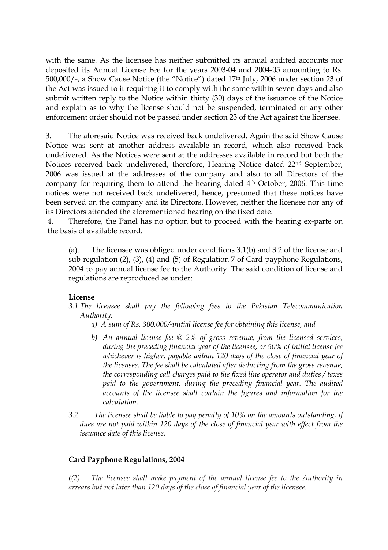with the same. As the licensee has neither submitted its annual audited accounts nor deposited its Annual License Fee for the years 2003-04 and 2004-05 amounting to Rs. 500,000/-, a Show Cause Notice (the "Notice") dated 17th July, 2006 under section 23 of the Act was issued to it requiring it to comply with the same within seven days and also submit written reply to the Notice within thirty (30) days of the issuance of the Notice and explain as to why the license should not be suspended, terminated or any other enforcement order should not be passed under section 23 of the Act against the licensee.

3. The aforesaid Notice was received back undelivered. Again the said Show Cause Notice was sent at another address available in record, which also received back undelivered. As the Notices were sent at the addresses available in record but both the Notices received back undelivered, therefore, Hearing Notice dated 22nd September, 2006 was issued at the addresses of the company and also to all Directors of the company for requiring them to attend the hearing dated 4th October, 2006. This time notices were not received back undelivered, hence, presumed that these notices have been served on the company and its Directors. However, neither the licensee nor any of its Directors attended the aforementioned hearing on the fixed date.

4. Therefore, the Panel has no option but to proceed with the hearing ex-parte on the basis of available record.

(a). The licensee was obliged under conditions 3.1(b) and 3.2 of the license and sub-regulation (2), (3), (4) and (5) of Regulation 7 of Card payphone Regulations, 2004 to pay annual license fee to the Authority. The said condition of license and regulations are reproduced as under:

#### **License**

- *3.1 The licensee shall pay the following fees to the Pakistan Telecommunication Authority:* 
	- *a) A sum of Rs. 300,000/-initial license fee for obtaining this license, and*
	- *b) An annual license fee @ 2% of gross revenue, from the licensed services, during the preceding financial year of the licensee, or 50% of initial license fee whichever is higher, payable within 120 days of the close of financial year of the licensee. The fee shall be calculated after deducting from the gross revenue, the corresponding call charges paid to the fixed line operator and duties / taxes paid to the government, during the preceding financial year. The audited accounts of the licensee shall contain the figures and information for the calculation.*
- *3.2 The licensee shall be liable to pay penalty of 10% on the amounts outstanding, if dues are not paid within 120 days of the close of financial year with effect from the issuance date of this license.*

#### **Card Payphone Regulations, 2004**

*((2) The licensee shall make payment of the annual license fee to the Authority in arrears but not later than 120 days of the close of financial year of the licensee.*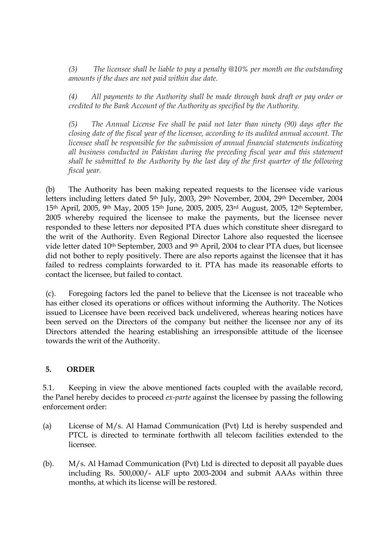*(3) The licensee shall be liable to pay a penalty @10% per month on the outstanding amounts if the dues are not paid within due date.* 

*(4) All payments to the Authority shall be made through bank draft or pay order or credited to the Bank Account of the Authority as specified by the Authority.* 

*(5) The Annual License Fee shall be paid not later than ninety (90) days after the closing date of the fiscal year of the licensee, according to its audited annual account. The licensee shall be responsible for the submission of annual financial statements indicating all business conducted in Pakistan during the preceding fiscal year and this statement shall be submitted to the Authority by the last day of the first quarter of the following fiscal year.*

(b) The Authority has been making repeated requests to the licensee vide various letters including letters dated 5th July, 2003, 29th November, 2004, 29th December, 2004 15th April, 2005, 9th May, 2005 15th June, 2005, 2005, 23rd August, 2005, 12th September, 2005 whereby required the licensee to make the payments, but the licensee never responded to these letters nor deposited PTA dues which constitute sheer disregard to the writ of the Authority. Even Regional Director Lahore also requested the licensee vide letter dated 10<sup>th</sup> September, 2003 and 9<sup>th</sup> April, 2004 to clear PTA dues, but licensee did not bother to reply positively. There are also reports against the licensee that it has failed to redress complaints forwarded to it. PTA has made its reasonable efforts to contact the licensee, but failed to contact.

(c). Foregoing factors led the panel to believe that the Licensee is not traceable who has either closed its operations or offices without informing the Authority. The Notices issued to Licensee have been received back undelivered, whereas hearing notices have been served on the Directors of the company but neither the licensee nor any of its Directors attended the hearing establishing an irresponsible attitude of the licensee towards the writ of the Authority.

# **5. ORDER**

5.1. Keeping in view the above mentioned facts coupled with the available record, the Panel hereby decides to proceed *ex-parte* against the licensee by passing the following enforcement order:

- (a) License of M/s. Al Hamad Communication (Pvt) Ltd is hereby suspended and PTCL is directed to terminate forthwith all telecom facilities extended to the licensee.
- (b). M/s. Al Hamad Communication (Pvt) Ltd is directed to deposit all payable dues including Rs. 500,000/- ALF upto 2003-2004 and submit AAAs within three months, at which its license will be restored.